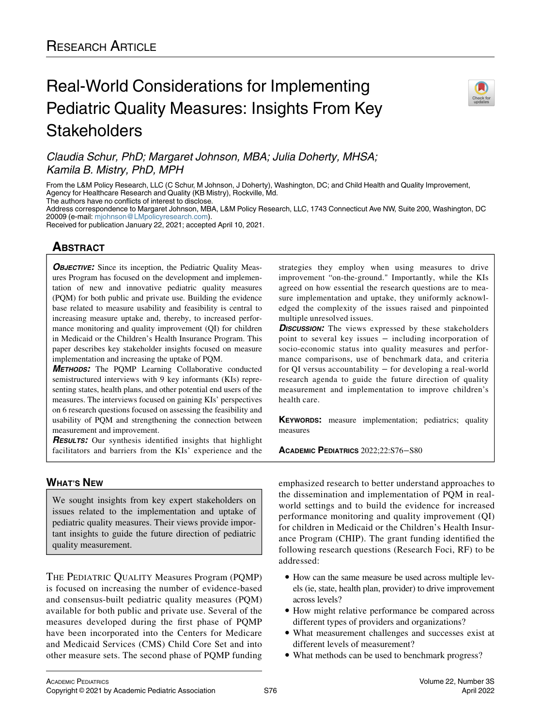# Real-World Considerations for Implementing Pediatric Quality Measures: Insights From Key **Stakeholders**



Claudia Schur, PhD; Margaret Johnson, MBA; Julia Doherty, MHSA; Kamila B. Mistry, PhD, MPH

From the L&M Policy Research, LLC (C Schur, M Johnson, J Doherty), Washington, DC; and Child Health and Quality Improvement, Agency for Healthcare Research and Quality (KB Mistry), Rockville, Md. The authors have no conflicts of interest to disclose.

Address correspondence to Margaret Johnson, MBA, L&M Policy Research, LLC, 1743 Connecticut Ave NW, Suite 200, Washington, DC 20009 (e-mail: [mjohnson@LMpolicyresearch.com\)](mailto:mjohnson@LMpolicyresearch.com).

Received for publication January 22, 2021; accepted April 10, 2021.

# **ABSTRACT**

**OBJECTIVE:** Since its inception, the Pediatric Quality Measures Program has focused on the development and implementation of new and innovative pediatric quality measures (PQM) for both public and private use. Building the evidence base related to measure usability and feasibility is central to increasing measure uptake and, thereby, to increased performance monitoring and quality improvement (QI) for children in Medicaid or the Children's Health Insurance Program. This paper describes key stakeholder insights focused on measure implementation and increasing the uptake of PQM.

METHODS: The PQMP Learning Collaborative conducted semistructured interviews with 9 key informants (KIs) representing states, health plans, and other potential end users of the measures. The interviews focused on gaining KIs' perspectives on 6 research questions focused on assessing the feasibility and usability of PQM and strengthening the connection between measurement and improvement.

**RESULTS:** Our synthesis identified insights that highlight facilitators and barriers from the KIs' experience and the

# WHAT'S NEW

We sought insights from key expert stakeholders on issues related to the implementation and uptake of pediatric quality measures. Their views provide important insights to guide the future direction of pediatric quality measurement.

THE PEDIATRIC QUALITY Measures Program (PQMP) is focused on increasing the number of evidence-based and consensus-built pediatric quality measures (PQM) available for both public and private use. Several of the measures developed during the first phase of PQMP have been incorporated into the Centers for Medicare and Medicaid Services (CMS) Child Core Set and into other measure sets. The second phase of PQMP funding

strategies they employ when using measures to drive improvement "on-the-ground." Importantly, while the KIs agreed on how essential the research questions are to measure implementation and uptake, they uniformly acknowledged the complexity of the issues raised and pinpointed multiple unresolved issues.

**DISCUSSION:** The views expressed by these stakeholders point to several key issues − including incorporation of socio-economic status into quality measures and performance comparisons, use of benchmark data, and criteria for QI versus accountability − for developing a real-world research agenda to guide the future direction of quality measurement and implementation to improve children's health care.

KEYWORDS: measure implementation; pediatrics; quality measures

ACADEMIC PEDIATRICS 2022;22:S76−S80

emphasized research to better understand approaches to the dissemination and implementation of PQM in realworld settings and to build the evidence for increased performance monitoring and quality improvement (QI) for children in Medicaid or the Children's Health Insurance Program (CHIP). The grant funding identified the following research questions (Research Foci, RF) to be addressed:

- How can the same measure be used across multiple levels (ie, state, health plan, provider) to drive improvement across levels?
- How might relative performance be compared across different types of providers and organizations?
- What measurement challenges and successes exist at different levels of measurement?
- What methods can be used to benchmark progress?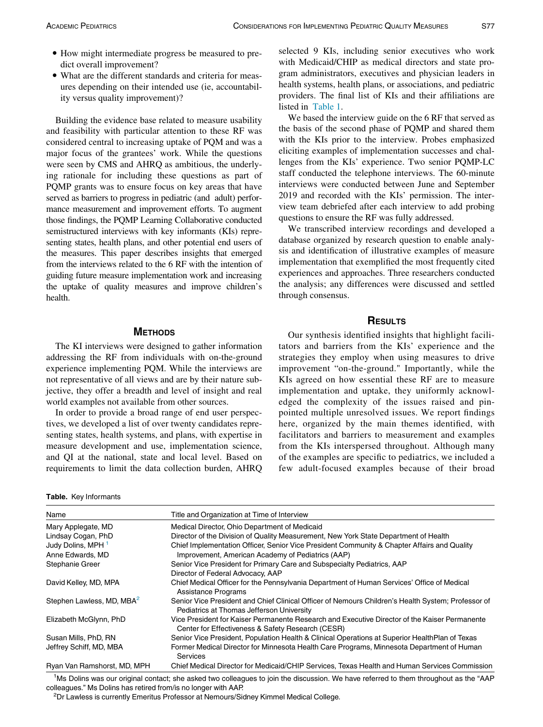- How might intermediate progress be measured to predict overall improvement?
- What are the different standards and criteria for measures depending on their intended use (ie, accountability versus quality improvement)?

Building the evidence base related to measure usability and feasibility with particular attention to these RF was considered central to increasing uptake of PQM and was a major focus of the grantees' work. While the questions were seen by CMS and AHRQ as ambitious, the underlying rationale for including these questions as part of PQMP grants was to ensure focus on key areas that have served as barriers to progress in pediatric (and adult) performance measurement and improvement efforts. To augment those findings, the PQMP Learning Collaborative conducted semistructured interviews with key informants (KIs) representing states, health plans, and other potential end users of the measures. This paper describes insights that emerged from the interviews related to the 6 RF with the intention of guiding future measure implementation work and increasing the uptake of quality measures and improve children's health.

# **METHODS**

The KI interviews were designed to gather information addressing the RF from individuals with on-the-ground experience implementing PQM. While the interviews are not representative of all views and are by their nature subjective, they offer a breadth and level of insight and real world examples not available from other sources.

In order to provide a broad range of end user perspectives, we developed a list of over twenty candidates representing states, health systems, and plans, with expertise in measure development and use, implementation science, and QI at the national, state and local level. Based on requirements to limit the data collection burden, AHRQ

<span id="page-1-0"></span>Table. Key Informants

selected 9 KIs, including senior executives who work with Medicaid/CHIP as medical directors and state program administrators, executives and physician leaders in health systems, health plans, or associations, and pediatric providers. The final list of KIs and their affiliations are listed in [Table 1](#page-1-0).

We based the interview guide on the 6 RF that served as the basis of the second phase of PQMP and shared them with the KIs prior to the interview. Probes emphasized eliciting examples of implementation successes and challenges from the KIs' experience. Two senior PQMP-LC staff conducted the telephone interviews. The 60-minute interviews were conducted between June and September 2019 and recorded with the KIs' permission. The interview team debriefed after each interview to add probing questions to ensure the RF was fully addressed.

We transcribed interview recordings and developed a database organized by research question to enable analysis and identification of illustrative examples of measure implementation that exemplified the most frequently cited experiences and approaches. Three researchers conducted the analysis; any differences were discussed and settled through consensus.

#### **RESULTS**

Our synthesis identified insights that highlight facilitators and barriers from the KIs' experience and the strategies they employ when using measures to drive improvement "on-the-ground." Importantly, while the KIs agreed on how essential these RF are to measure implementation and uptake, they uniformly acknowledged the complexity of the issues raised and pinpointed multiple unresolved issues. We report findings here, organized by the main themes identified, with facilitators and barriers to measurement and examples from the KIs interspersed throughout. Although many of the examples are specific to pediatrics, we included a few adult-focused examples because of their broad

| Name                                  | Title and Organization at Time of Interview                                                                                                        |
|---------------------------------------|----------------------------------------------------------------------------------------------------------------------------------------------------|
| Mary Applegate, MD                    | Medical Director, Ohio Department of Medicaid                                                                                                      |
| Lindsay Cogan, PhD                    | Director of the Division of Quality Measurement, New York State Department of Health                                                               |
| Judy Dolins, MPH 1                    | Chief Implementation Officer, Senior Vice President Community & Chapter Affairs and Quality                                                        |
| Anne Edwards, MD                      | Improvement, American Academy of Pediatrics (AAP)                                                                                                  |
| Stephanie Greer                       | Senior Vice President for Primary Care and Subspecialty Pediatrics, AAP                                                                            |
|                                       | Director of Federal Advocacy, AAP                                                                                                                  |
| David Kelley, MD, MPA                 | Chief Medical Officer for the Pennsylvania Department of Human Services' Office of Medical<br><b>Assistance Programs</b>                           |
| Stephen Lawless, MD, MBA <sup>2</sup> | Senior Vice President and Chief Clinical Officer of Nemours Children's Health System; Professor of<br>Pediatrics at Thomas Jefferson University    |
| Elizabeth McGlynn, PhD                | Vice President for Kaiser Permanente Research and Executive Director of the Kaiser Permanente<br>Center for Effectiveness & Safety Research (CESR) |
| Susan Mills, PhD, RN                  | Senior Vice President, Population Health & Clinical Operations at Superior Health Plan of Texas                                                    |
| Jeffrey Schiff, MD, MBA               | Former Medical Director for Minnesota Health Care Programs, Minnesota Department of Human<br><b>Services</b>                                       |
| Ryan Van Ramshorst, MD, MPH           | Chief Medical Director for Medicaid/CHIP Services, Texas Health and Human Services Commission                                                      |

<span id="page-1-2"></span><span id="page-1-1"></span><sup>1</sup>Ms Dolins was our original contact; she asked two colleagues to join the discussion. We have referred to them throughout as the "AAP colleagues." Ms Dolins has retired from/is no longer with AAP.

<sup>2</sup>Dr Lawless is currently Emeritus Professor at Nemours/Sidney Kimmel Medical College.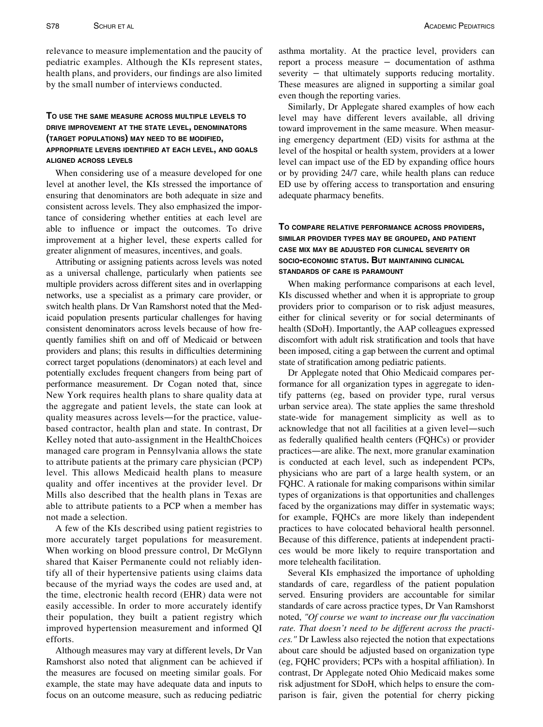relevance to measure implementation and the paucity of pediatric examples. Although the KIs represent states, health plans, and providers, our findings are also limited by the small number of interviews conducted.

# TO USE THE SAME MEASURE ACROSS MULTIPLE LEVELS TO DRIVE IMPROVEMENT AT THE STATE LEVEL, DENOMINATORS (TARGET POPULATIONS) MAY NEED TO BE MODIFIED, APPROPRIATE LEVERS IDENTIFIED AT EACH LEVEL, AND GOALS ALIGNED ACROSS LEVELS

When considering use of a measure developed for one level at another level, the KIs stressed the importance of ensuring that denominators are both adequate in size and consistent across levels. They also emphasized the importance of considering whether entities at each level are able to influence or impact the outcomes. To drive improvement at a higher level, these experts called for greater alignment of measures, incentives, and goals.

Attributing or assigning patients across levels was noted as a universal challenge, particularly when patients see multiple providers across different sites and in overlapping networks, use a specialist as a primary care provider, or switch health plans. Dr Van Ramshorst noted that the Medicaid population presents particular challenges for having consistent denominators across levels because of how frequently families shift on and off of Medicaid or between providers and plans; this results in difficulties determining correct target populations (denominators) at each level and potentially excludes frequent changers from being part of performance measurement. Dr Cogan noted that, since New York requires health plans to share quality data at the aggregate and patient levels, the state can look at quality measures across levels—for the practice, valuebased contractor, health plan and state. In contrast, Dr Kelley noted that auto-assignment in the HealthChoices managed care program in Pennsylvania allows the state to attribute patients at the primary care physician (PCP) level. This allows Medicaid health plans to measure quality and offer incentives at the provider level. Dr Mills also described that the health plans in Texas are able to attribute patients to a PCP when a member has not made a selection.

A few of the KIs described using patient registries to more accurately target populations for measurement. When working on blood pressure control, Dr McGlynn shared that Kaiser Permanente could not reliably identify all of their hypertensive patients using claims data because of the myriad ways the codes are used and, at the time, electronic health record (EHR) data were not easily accessible. In order to more accurately identify their population, they built a patient registry which improved hypertension measurement and informed QI efforts.

Although measures may vary at different levels, Dr Van Ramshorst also noted that alignment can be achieved if the measures are focused on meeting similar goals. For example, the state may have adequate data and inputs to focus on an outcome measure, such as reducing pediatric

asthma mortality. At the practice level, providers can report a process measure − documentation of asthma severity – that ultimately supports reducing mortality. These measures are aligned in supporting a similar goal even though the reporting varies.

Similarly, Dr Applegate shared examples of how each level may have different levers available, all driving toward improvement in the same measure. When measuring emergency department (ED) visits for asthma at the level of the hospital or health system, providers at a lower level can impact use of the ED by expanding office hours or by providing 24/7 care, while health plans can reduce ED use by offering access to transportation and ensuring adequate pharmacy benefits.

# TO COMPARE RELATIVE PERFORMANCE ACROSS PROVIDERS, SIMILAR PROVIDER TYPES MAY BE GROUPED, AND PATIENT CASE MIX MAY BE ADJUSTED FOR CLINICAL SEVERITY OR SOCIO-ECONOMIC STATUS. BUT MAINTAINING CLINICAL STANDARDS OF CARE IS PARAMOUNT

When making performance comparisons at each level, KIs discussed whether and when it is appropriate to group providers prior to comparison or to risk adjust measures, either for clinical severity or for social determinants of health (SDoH). Importantly, the AAP colleagues expressed discomfort with adult risk stratification and tools that have been imposed, citing a gap between the current and optimal state of stratification among pediatric patients.

Dr Applegate noted that Ohio Medicaid compares performance for all organization types in aggregate to identify patterns (eg, based on provider type, rural versus urban service area). The state applies the same threshold state-wide for management simplicity as well as to acknowledge that not all facilities at a given level—such as federally qualified health centers (FQHCs) or provider practices—are alike. The next, more granular examination is conducted at each level, such as independent PCPs, physicians who are part of a large health system, or an FQHC. A rationale for making comparisons within similar types of organizations is that opportunities and challenges faced by the organizations may differ in systematic ways; for example, FQHCs are more likely than independent practices to have colocated behavioral health personnel. Because of this difference, patients at independent practices would be more likely to require transportation and more telehealth facilitation.

Several KIs emphasized the importance of upholding standards of care, regardless of the patient population served. Ensuring providers are accountable for similar standards of care across practice types, Dr Van Ramshorst noted, "Of course we want to increase our flu vaccination rate. That doesn't need to be different across the practices." Dr Lawless also rejected the notion that expectations about care should be adjusted based on organization type (eg, FQHC providers; PCPs with a hospital affiliation). In contrast, Dr Applegate noted Ohio Medicaid makes some risk adjustment for SDoH, which helps to ensure the comparison is fair, given the potential for cherry picking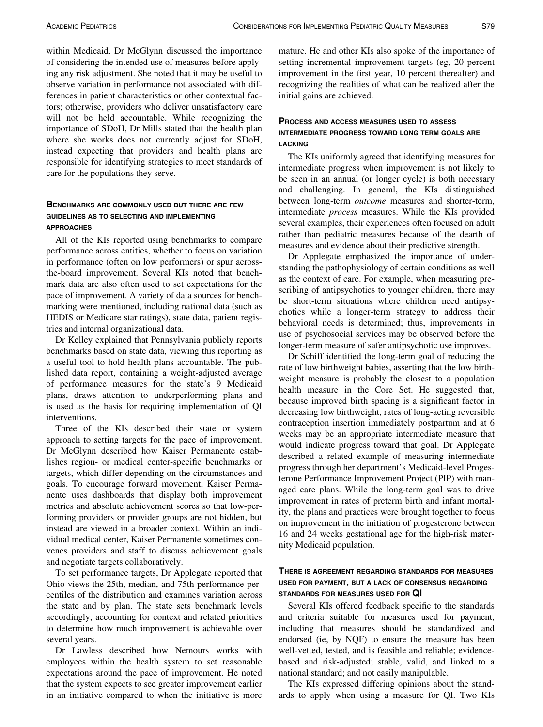within Medicaid. Dr McGlynn discussed the importance of considering the intended use of measures before applying any risk adjustment. She noted that it may be useful to observe variation in performance not associated with differences in patient characteristics or other contextual factors; otherwise, providers who deliver unsatisfactory care will not be held accountable. While recognizing the importance of SDoH, Dr Mills stated that the health plan where she works does not currently adjust for SDoH, instead expecting that providers and health plans are responsible for identifying strategies to meet standards of care for the populations they serve.

# BENCHMARKS ARE COMMONLY USED BUT THERE ARE FEW GUIDELINES AS TO SELECTING AND IMPLEMENTING APPROACHES

All of the KIs reported using benchmarks to compare performance across entities, whether to focus on variation in performance (often on low performers) or spur acrossthe-board improvement. Several KIs noted that benchmark data are also often used to set expectations for the pace of improvement. A variety of data sources for benchmarking were mentioned, including national data (such as HEDIS or Medicare star ratings), state data, patient registries and internal organizational data.

Dr Kelley explained that Pennsylvania publicly reports benchmarks based on state data, viewing this reporting as a useful tool to hold health plans accountable. The published data report, containing a weight-adjusted average of performance measures for the state's 9 Medicaid plans, draws attention to underperforming plans and is used as the basis for requiring implementation of QI interventions.

Three of the KIs described their state or system approach to setting targets for the pace of improvement. Dr McGlynn described how Kaiser Permanente establishes region- or medical center-specific benchmarks or targets, which differ depending on the circumstances and goals. To encourage forward movement, Kaiser Permanente uses dashboards that display both improvement metrics and absolute achievement scores so that low-performing providers or provider groups are not hidden, but instead are viewed in a broader context. Within an individual medical center, Kaiser Permanente sometimes convenes providers and staff to discuss achievement goals and negotiate targets collaboratively.

To set performance targets, Dr Applegate reported that Ohio views the 25th, median, and 75th performance percentiles of the distribution and examines variation across the state and by plan. The state sets benchmark levels accordingly, accounting for context and related priorities to determine how much improvement is achievable over several years.

Dr Lawless described how Nemours works with employees within the health system to set reasonable expectations around the pace of improvement. He noted that the system expects to see greater improvement earlier in an initiative compared to when the initiative is more

mature. He and other KIs also spoke of the importance of setting incremental improvement targets (eg, 20 percent improvement in the first year, 10 percent thereafter) and recognizing the realities of what can be realized after the initial gains are achieved.

# PROCESS AND ACCESS MEASURES USED TO ASSESS INTERMEDIATE PROGRESS TOWARD LONG TERM GOALS ARE LACKING

The KIs uniformly agreed that identifying measures for intermediate progress when improvement is not likely to be seen in an annual (or longer cycle) is both necessary and challenging. In general, the KIs distinguished between long-term *outcome* measures and shorter-term, intermediate process measures. While the KIs provided several examples, their experiences often focused on adult rather than pediatric measures because of the dearth of measures and evidence about their predictive strength.

Dr Applegate emphasized the importance of understanding the pathophysiology of certain conditions as well as the context of care. For example, when measuring prescribing of antipsychotics to younger children, there may be short-term situations where children need antipsychotics while a longer-term strategy to address their behavioral needs is determined; thus, improvements in use of psychosocial services may be observed before the longer-term measure of safer antipsychotic use improves.

Dr Schiff identified the long-term goal of reducing the rate of low birthweight babies, asserting that the low birthweight measure is probably the closest to a population health measure in the Core Set. He suggested that, because improved birth spacing is a significant factor in decreasing low birthweight, rates of long-acting reversible contraception insertion immediately postpartum and at 6 weeks may be an appropriate intermediate measure that would indicate progress toward that goal. Dr Applegate described a related example of measuring intermediate progress through her department's Medicaid-level Progesterone Performance Improvement Project (PIP) with managed care plans. While the long-term goal was to drive improvement in rates of preterm birth and infant mortality, the plans and practices were brought together to focus on improvement in the initiation of progesterone between 16 and 24 weeks gestational age for the high-risk maternity Medicaid population.

#### THERE IS AGREEMENT REGARDING STANDARDS FOR MEASURES USED FOR PAYMENT, BUT A LACK OF CONSENSUS REGARDING STANDARDS FOR MEASURES USED FOR QI

Several KIs offered feedback specific to the standards and criteria suitable for measures used for payment, including that measures should be standardized and endorsed (ie, by NQF) to ensure the measure has been well-vetted, tested, and is feasible and reliable; evidencebased and risk-adjusted; stable, valid, and linked to a national standard; and not easily manipulable.

The KIs expressed differing opinions about the standards to apply when using a measure for QI. Two KIs